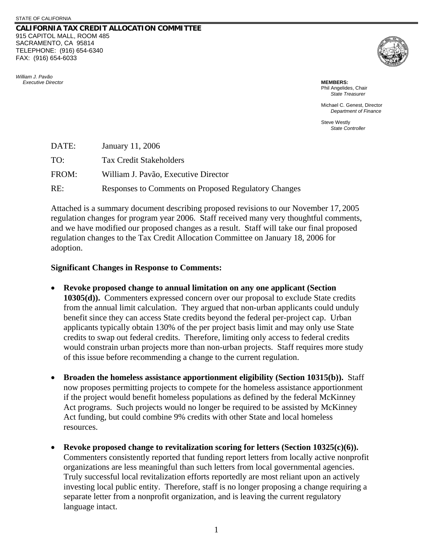## **CALIFORNIA TAX CREDIT ALLOCATION COMMITTEE** 915 CAPITOL MALL, ROOM 485 SACRAMENTO, CA 95814 TELEPHONE: (916) 654-6340 FAX: (916) 654-6033





Phil Angelides, Chair *State Treasurer*

Michael C. Genest, Director *Department of Finance* 

Steve Westly *State Controller*

| DATE: | January 11, 2006                                     |
|-------|------------------------------------------------------|
| TO:   | <b>Tax Credit Stakeholders</b>                       |
| FROM: | William J. Pavão, Executive Director                 |
| RE:   | Responses to Comments on Proposed Regulatory Changes |

Attached is a summary document describing proposed revisions to our November 17, 2005 regulation changes for program year 2006. Staff received many very thoughtful comments, and we have modified our proposed changes as a result. Staff will take our final proposed regulation changes to the Tax Credit Allocation Committee on January 18, 2006 for adoption.

## **Significant Changes in Response to Comments:**

- **Revoke proposed change to annual limitation on any one applicant (Section 10305(d)).** Commenters expressed concern over our proposal to exclude State credits from the annual limit calculation. They argued that non-urban applicants could unduly benefit since they can access State credits beyond the federal per-project cap. Urban applicants typically obtain 130% of the per project basis limit and may only use State credits to swap out federal credits. Therefore, limiting only access to federal credits would constrain urban projects more than non-urban projects. Staff requires more study of this issue before recommending a change to the current regulation.
- **Broaden the homeless assistance apportionment eligibility (Section 10315(b)).** Staff now proposes permitting projects to compete for the homeless assistance apportionment if the project would benefit homeless populations as defined by the federal McKinney Act programs. Such projects would no longer be required to be assisted by McKinney Act funding, but could combine 9% credits with other State and local homeless resources.
- **Revoke proposed change to revitalization scoring for letters (Section 10325(c)(6)).** Commenters consistently reported that funding report letters from locally active nonprofit organizations are less meaningful than such letters from local governmental agencies. Truly successful local revitalization efforts reportedly are most reliant upon an actively investing local public entity. Therefore, staff is no longer proposing a change requiring a separate letter from a nonprofit organization, and is leaving the current regulatory language intact.